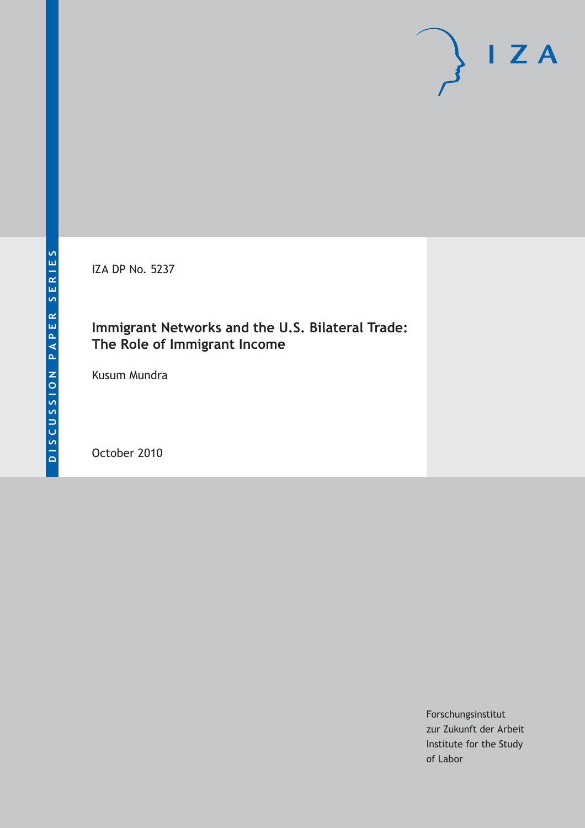IZA DP No. 5237

# **Immigrant Networks and the U.S. Bilateral Trade: The Role of Immigrant Income**

Kusum Mundra

October 2010

Forschungsinstitut zur Zukunft der Arbeit Institute for the Study of Labor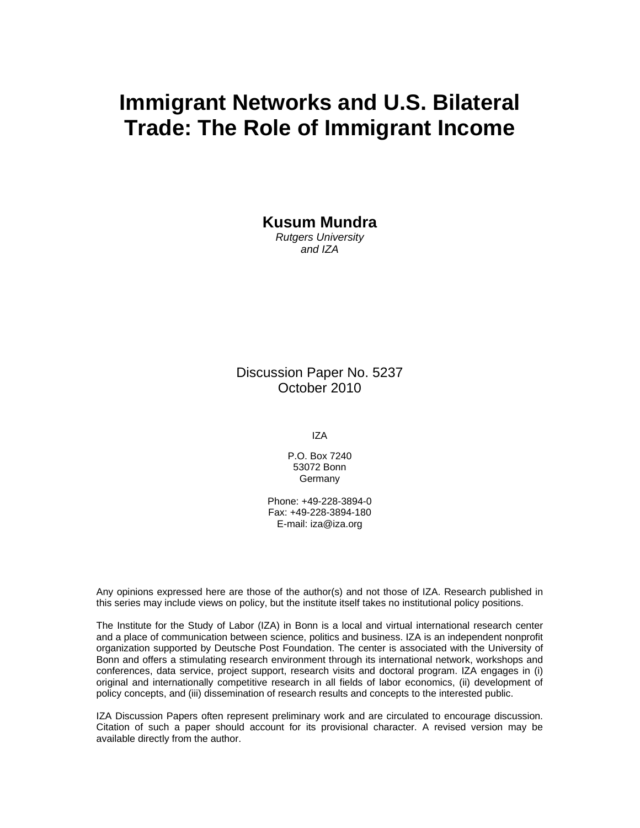# **Immigrant Networks and U.S. Bilateral Trade: The Role of Immigrant Income**

**Kusum Mundra**  *Rutgers University and IZA* 

Discussion Paper No. 5237 October 2010

IZA

P.O. Box 7240 53072 Bonn **Germany** 

Phone: +49-228-3894-0 Fax: +49-228-3894-180 E-mail: iza@iza.org

Any opinions expressed here are those of the author(s) and not those of IZA. Research published in this series may include views on policy, but the institute itself takes no institutional policy positions.

The Institute for the Study of Labor (IZA) in Bonn is a local and virtual international research center and a place of communication between science, politics and business. IZA is an independent nonprofit organization supported by Deutsche Post Foundation. The center is associated with the University of Bonn and offers a stimulating research environment through its international network, workshops and conferences, data service, project support, research visits and doctoral program. IZA engages in (i) original and internationally competitive research in all fields of labor economics, (ii) development of policy concepts, and (iii) dissemination of research results and concepts to the interested public.

IZA Discussion Papers often represent preliminary work and are circulated to encourage discussion. Citation of such a paper should account for its provisional character. A revised version may be available directly from the author.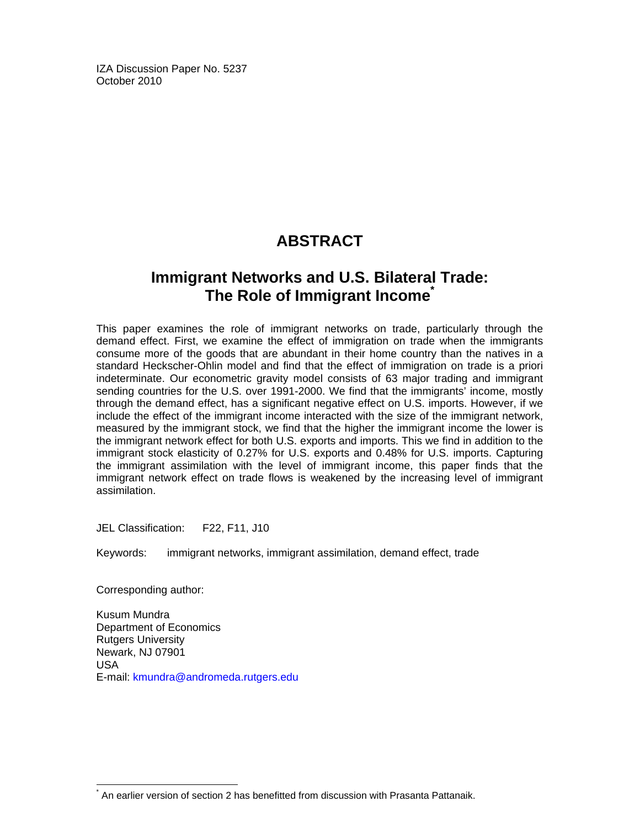IZA Discussion Paper No. 5237 October 2010

# **ABSTRACT**

### **Immigrant Networks and U.S. Bilateral Trade: The Role of Immigrant Income\***

This paper examines the role of immigrant networks on trade, particularly through the demand effect. First, we examine the effect of immigration on trade when the immigrants consume more of the goods that are abundant in their home country than the natives in a standard Heckscher-Ohlin model and find that the effect of immigration on trade is a priori indeterminate. Our econometric gravity model consists of 63 major trading and immigrant sending countries for the U.S. over 1991-2000. We find that the immigrants' income, mostly through the demand effect, has a significant negative effect on U.S. imports. However, if we include the effect of the immigrant income interacted with the size of the immigrant network, measured by the immigrant stock, we find that the higher the immigrant income the lower is the immigrant network effect for both U.S. exports and imports. This we find in addition to the immigrant stock elasticity of 0.27% for U.S. exports and 0.48% for U.S. imports. Capturing the immigrant assimilation with the level of immigrant income, this paper finds that the immigrant network effect on trade flows is weakened by the increasing level of immigrant assimilation.

JEL Classification: F22, F11, J10

Keywords: immigrant networks, immigrant assimilation, demand effect, trade

Corresponding author:

Kusum Mundra Department of Economics Rutgers University Newark, NJ 07901 USA E-mail: kmundra@andromeda.rutgers.edu

<sup>-</sup>\* An earlier version of section 2 has benefitted from discussion with Prasanta Pattanaik.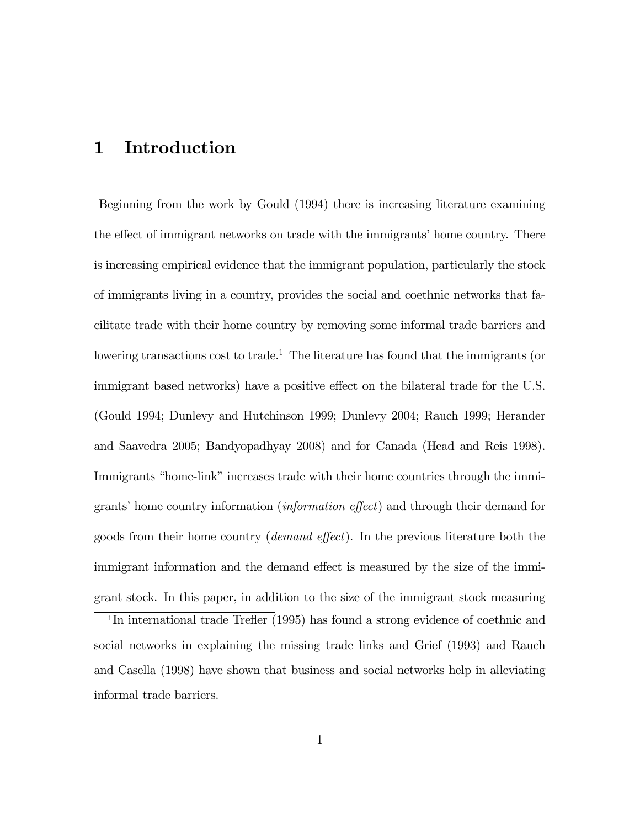### 1 Introduction

Beginning from the work by Gould (1994) there is increasing literature examining the effect of immigrant networks on trade with the immigrants' home country. There is increasing empirical evidence that the immigrant population, particularly the stock of immigrants living in a country, provides the social and coethnic networks that facilitate trade with their home country by removing some informal trade barriers and lowering transactions cost to trade.<sup>1</sup> The literature has found that the immigrants (or immigrant based networks) have a positive effect on the bilateral trade for the U.S. (Gould 1994; Dunlevy and Hutchinson 1999; Dunlevy 2004; Rauch 1999; Herander and Saavedra 2005; Bandyopadhyay 2008) and for Canada (Head and Reis 1998). Immigrants "home-link" increases trade with their home countries through the immigrants' home country information (information effect) and through their demand for goods from their home country (demand effect). In the previous literature both the immigrant information and the demand effect is measured by the size of the immigrant stock. In this paper, in addition to the size of the immigrant stock measuring

<sup>&</sup>lt;sup>1</sup>In international trade Trefler (1995) has found a strong evidence of coethnic and social networks in explaining the missing trade links and Grief (1993) and Rauch and Casella (1998) have shown that business and social networks help in alleviating informal trade barriers.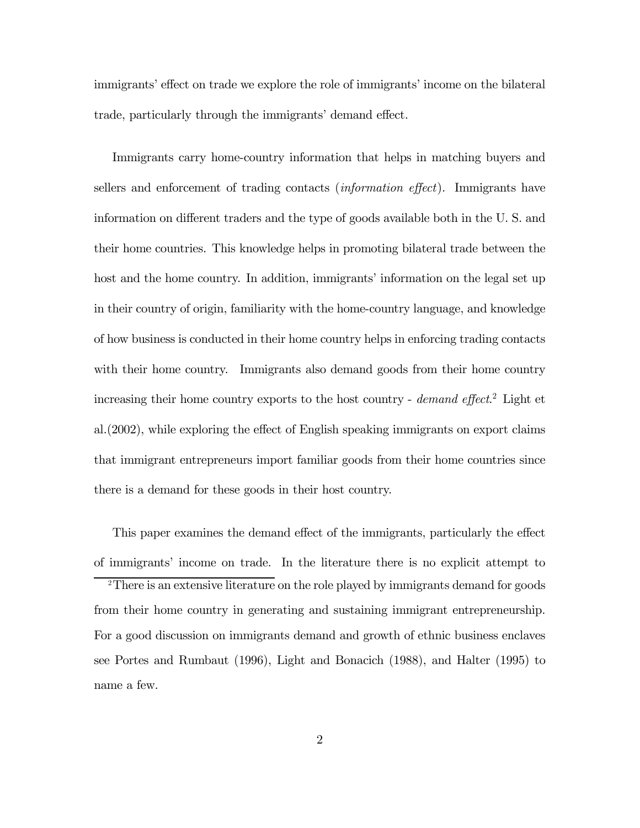immigrants' effect on trade we explore the role of immigrants' income on the bilateral trade, particularly through the immigrants' demand effect.

Immigrants carry home-country information that helps in matching buyers and sellers and enforcement of trading contacts *(information effect)*. Immigrants have information on different traders and the type of goods available both in the U. S. and their home countries. This knowledge helps in promoting bilateral trade between the host and the home country. In addition, immigrants' information on the legal set up in their country of origin, familiarity with the home-country language, and knowledge of how business is conducted in their home country helps in enforcing trading contacts with their home country. Immigrants also demand goods from their home country increasing their home country exports to the host country - *demand effect*.<sup>2</sup> Light et al.(2002), while exploring the effect of English speaking immigrants on export claims that immigrant entrepreneurs import familiar goods from their home countries since there is a demand for these goods in their host country.

This paper examines the demand effect of the immigrants, particularly the effect of immigrants' income on trade. In the literature there is no explicit attempt to 2There is an extensive literature on the role played by immigrants demand for goods from their home country in generating and sustaining immigrant entrepreneurship. For a good discussion on immigrants demand and growth of ethnic business enclaves see Portes and Rumbaut (1996), Light and Bonacich (1988), and Halter (1995) to name a few.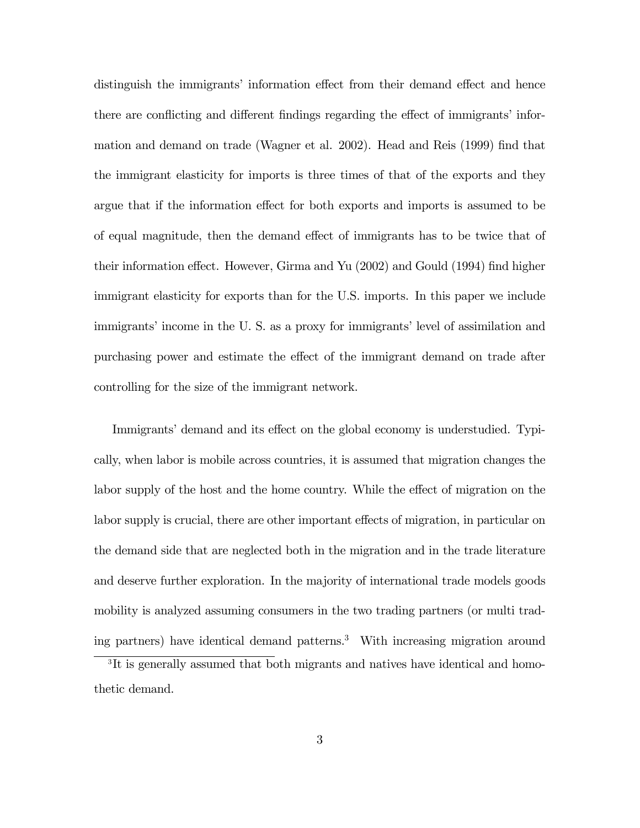distinguish the immigrants' information effect from their demand effect and hence there are conflicting and different findings regarding the effect of immigrants' information and demand on trade (Wagner et al. 2002). Head and Reis (1999) find that the immigrant elasticity for imports is three times of that of the exports and they argue that if the information effect for both exports and imports is assumed to be of equal magnitude, then the demand effect of immigrants has to be twice that of their information effect. However, Girma and Yu (2002) and Gould (1994) find higher immigrant elasticity for exports than for the U.S. imports. In this paper we include immigrants' income in the U. S. as a proxy for immigrants' level of assimilation and purchasing power and estimate the effect of the immigrant demand on trade after controlling for the size of the immigrant network.

Immigrants' demand and its effect on the global economy is understudied. Typically, when labor is mobile across countries, it is assumed that migration changes the labor supply of the host and the home country. While the effect of migration on the labor supply is crucial, there are other important effects of migration, in particular on the demand side that are neglected both in the migration and in the trade literature and deserve further exploration. In the majority of international trade models goods mobility is analyzed assuming consumers in the two trading partners (or multi trading partners) have identical demand patterns.3 With increasing migration around

<sup>&</sup>lt;sup>3</sup>It is generally assumed that both migrants and natives have identical and homothetic demand.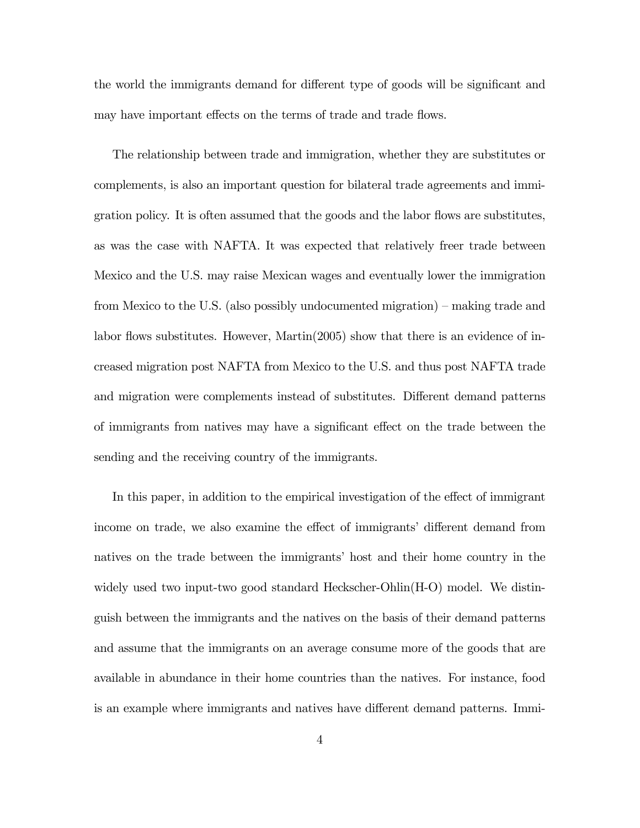the world the immigrants demand for different type of goods will be significant and may have important effects on the terms of trade and trade flows.

The relationship between trade and immigration, whether they are substitutes or complements, is also an important question for bilateral trade agreements and immigration policy. It is often assumed that the goods and the labor flows are substitutes, as was the case with NAFTA. It was expected that relatively freer trade between Mexico and the U.S. may raise Mexican wages and eventually lower the immigration from Mexico to the U.S. (also possibly undocumented migration) — making trade and labor flows substitutes. However, Martin(2005) show that there is an evidence of increased migration post NAFTA from Mexico to the U.S. and thus post NAFTA trade and migration were complements instead of substitutes. Different demand patterns of immigrants from natives may have a significant effect on the trade between the sending and the receiving country of the immigrants.

In this paper, in addition to the empirical investigation of the effect of immigrant income on trade, we also examine the effect of immigrants' different demand from natives on the trade between the immigrants' host and their home country in the widely used two input-two good standard Heckscher-Ohlin(H-O) model. We distinguish between the immigrants and the natives on the basis of their demand patterns and assume that the immigrants on an average consume more of the goods that are available in abundance in their home countries than the natives. For instance, food is an example where immigrants and natives have different demand patterns. Immi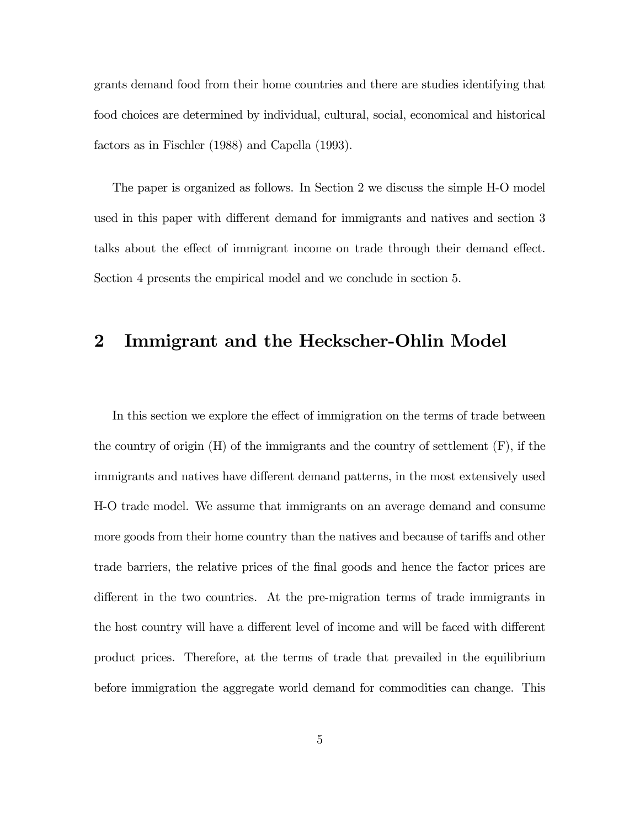grants demand food from their home countries and there are studies identifying that food choices are determined by individual, cultural, social, economical and historical factors as in Fischler (1988) and Capella (1993).

The paper is organized as follows. In Section 2 we discuss the simple H-O model used in this paper with different demand for immigrants and natives and section 3 talks about the effect of immigrant income on trade through their demand effect. Section 4 presents the empirical model and we conclude in section 5.

### 2 Immigrant and the Heckscher-Ohlin Model

In this section we explore the effect of immigration on the terms of trade between the country of origin (H) of the immigrants and the country of settlement (F), if the immigrants and natives have different demand patterns, in the most extensively used H-O trade model. We assume that immigrants on an average demand and consume more goods from their home country than the natives and because of tariffs and other trade barriers, the relative prices of the final goods and hence the factor prices are different in the two countries. At the pre-migration terms of trade immigrants in the host country will have a different level of income and will be faced with different product prices. Therefore, at the terms of trade that prevailed in the equilibrium before immigration the aggregate world demand for commodities can change. This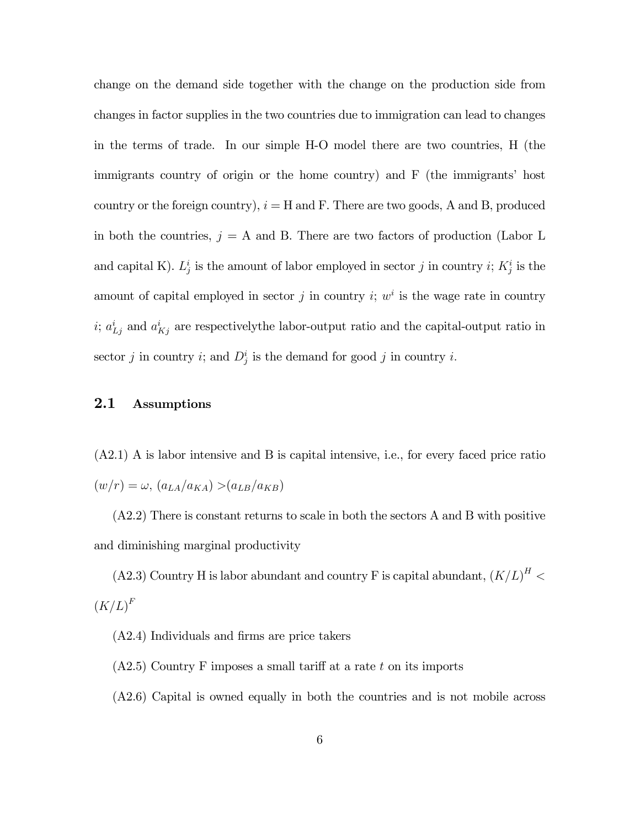change on the demand side together with the change on the production side from changes in factor supplies in the two countries due to immigration can lead to changes in the terms of trade. In our simple H-O model there are two countries, H (the immigrants country of origin or the home country) and F (the immigrants' host country or the foreign country),  $i = H$  and F. There are two goods, A and B, produced in both the countries,  $j = A$  and B. There are two factors of production (Labor L and capital K).  $L_j^i$  is the amount of labor employed in sector j in country i;  $K_j^i$  is the amount of capital employed in sector  $j$  in country  $i$ ;  $w<sup>i</sup>$  is the wage rate in country i;  $a_{Lj}^{i}$  and  $a_{Kj}^{i}$  are respectively the labor-output ratio and the capital-output ratio in sector j in country i; and  $D_j^i$  is the demand for good j in country i.

#### 2.1 Assumptions

(A2.1) A is labor intensive and B is capital intensive, i.e., for every faced price ratio  $(w/r) = \omega$ ,  $(a_{LA}/a_{KA}) > (a_{LB}/a_{KB})$ 

(A2.2) There is constant returns to scale in both the sectors A and B with positive and diminishing marginal productivity

(A2.3) Country H is labor abundant and country F is capital abundant,  $(K/L)^H$  <  $(K/L)^F$ 

(A2.4) Individuals and firms are price takers

 $(A2.5)$  Country F imposes a small tariff at a rate t on its imports

(A2.6) Capital is owned equally in both the countries and is not mobile across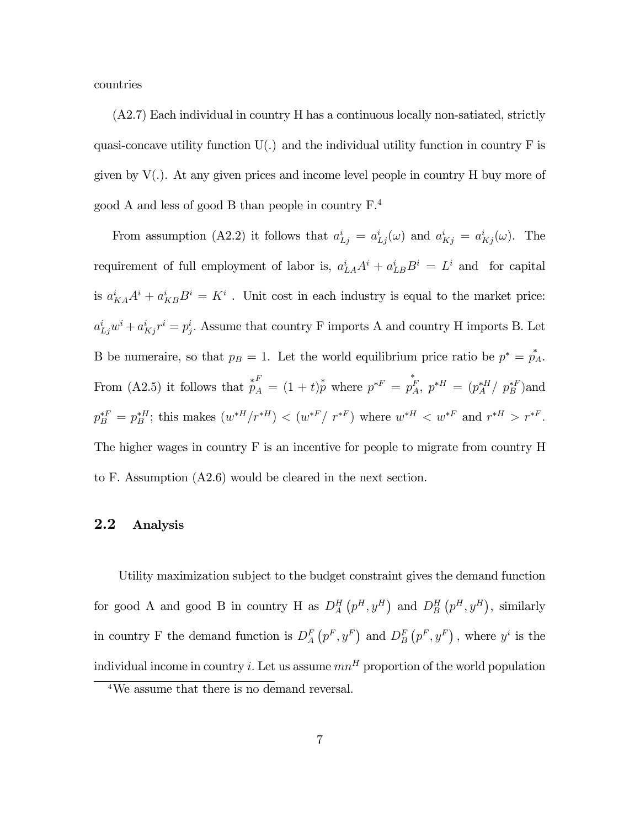countries

(A2.7) Each individual in country H has a continuous locally non-satiated, strictly quasi-concave utility function  $U(.)$  and the individual utility function in country F is given by  $V(.)$ . At any given prices and income level people in country H buy more of good A and less of good B than people in country  $F^4$ .

From assumption (A2.2) it follows that  $a_{Lj}^i = a_{Lj}^i(\omega)$  and  $a_{Kj}^i = a_{Kj}^i(\omega)$ . The requirement of full employment of labor is,  $a_{LA}^i A^i + a_{LB}^i B^i = L^i$  and for capital is  $a_{KA}^i A^i + a_{KB}^i B^i = K^i$ . Unit cost in each industry is equal to the market price:  $a_{Lj}^i w^i + a_{Kj}^i r^i = p_j^i$ . Assume that country F imports A and country H imports B. Let B be numeraire, so that  $p_B = 1$ . Let the world equilibrium price ratio be  $p^* = p_A^*$ . From (A2.5) it follows that  $p_{A}^{*F} = (1+t)p_{A}^{*}$  where  $p^{*F} = p_{A}^{*}, p^{*H} = (p_{A}^{*H}/p_{B}^{*F})$  and  $p_B^{*F} = p_B^{*H}$ ; this makes  $(w^{*H}/r^{*H}) < (w^{*F}/r^{*F})$  where  $w^{*H} < w^{*F}$  and  $r^{*H} > r^{*F}$ . The higher wages in country F is an incentive for people to migrate from country H to F. Assumption (A2.6) would be cleared in the next section.

#### 2.2 Analysis

Utility maximization subject to the budget constraint gives the demand function for good A and good B in country H as  $D_A^H(p^H, y^H)$  and  $D_B^H(p^H, y^H)$ , similarly in country F the demand function is  $D_A^F(p^F, y^F)$  and  $D_B^F(p^F, y^F)$ , where  $y^i$  is the individual income in country i. Let us assume  $mn<sup>H</sup>$  proportion of the world population

<sup>4</sup>We assume that there is no demand reversal.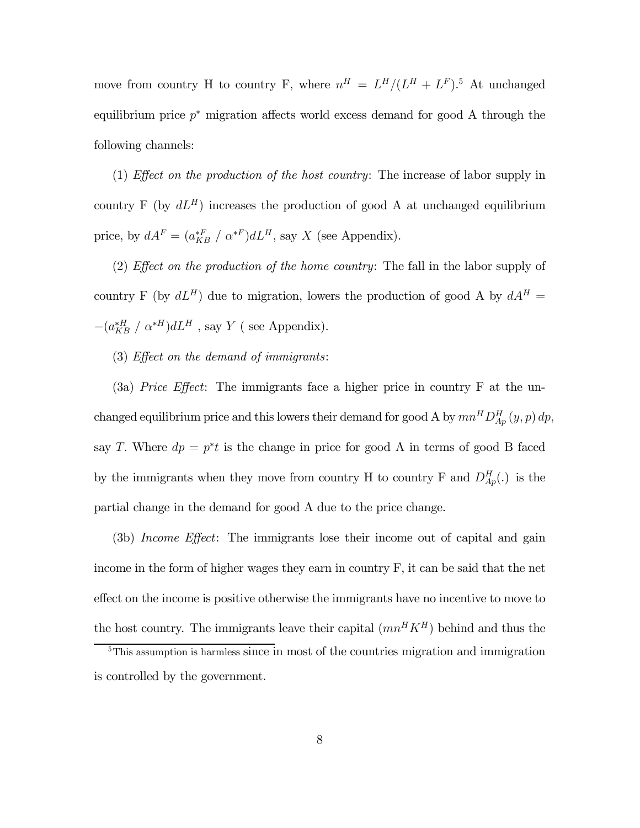move from country H to country F, where  $n^H = L^H/(L^H + L^F)$ .<sup>5</sup> At unchanged equilibrium price  $p^*$  migration affects world excess demand for good A through the following channels:

(1) Effect on the production of the host country: The increase of labor supply in country F (by  $dL^H$ ) increases the production of good A at unchanged equilibrium price, by  $dA^F = (a_{KB}^{*F} / \alpha^{*F}) dL^H$ , say X (see Appendix).

(2) Effect on the production of the home country: The fall in the labor supply of country F (by  $dL^H$ ) due to migration, lowers the production of good A by  $dA^H$  =  $-(a_{KB}^{*H} / \alpha^{*H})dL^H$ , say Y (see Appendix).

(3) Effect on the demand of immigrants:

(3a) Price Effect: The immigrants face a higher price in country  $F$  at the unchanged equilibrium price and this lowers their demand for good A by  $mn^HD_{Ap}^H(y,p) dp$ , say T. Where  $dp = p^*t$  is the change in price for good A in terms of good B faced by the immigrants when they move from country H to country F and  $D_{Ap}^H(.)$  is the partial change in the demand for good A due to the price change.

(3b) Income Effect: The immigrants lose their income out of capital and gain income in the form of higher wages they earn in country F, it can be said that the net effect on the income is positive otherwise the immigrants have no incentive to move to the host country. The immigrants leave their capital  $(mn<sup>H</sup>K<sup>H</sup>)$  behind and thus the

 $5<sup>5</sup>$ This assumption is harmless since in most of the countries migration and immigration is controlled by the government.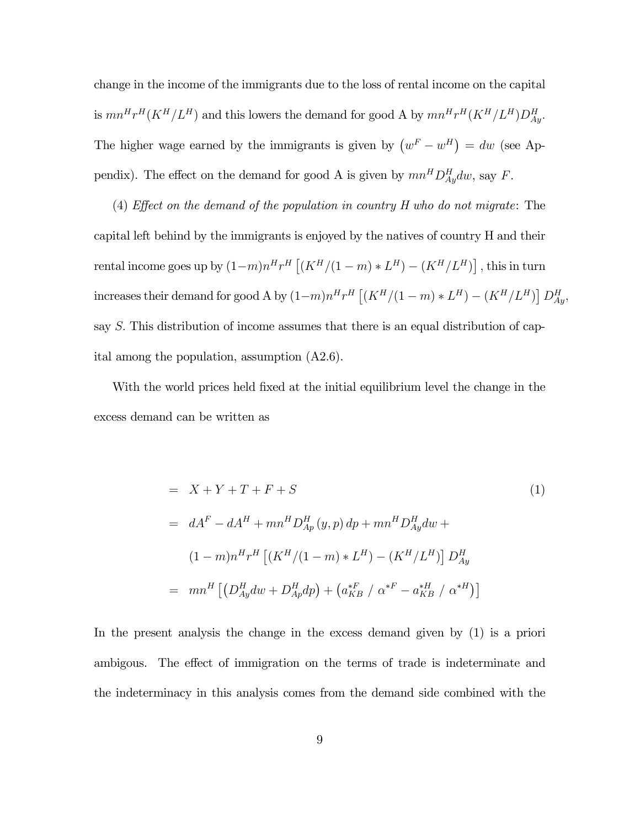change in the income of the immigrants due to the loss of rental income on the capital is  $mn^H r^H (K^H/L^H)$  and this lowers the demand for good A by  $mn^H r^H (K^H/L^H) D_{Ay}^H$ . The higher wage earned by the immigrants is given by  $(w^F - w^H) = dw$  (see Appendix). The effect on the demand for good A is given by  $mn^HD^H_{Ay}dw$ , say F.

(4) Effect on the demand of the population in country H who do not migrate: The capital left behind by the immigrants is enjoyed by the natives of country H and their rental income goes up by  $(1-m)n^H r^H \left[ (K^H/(1-m) * L^H) - (K^H/L^H) \right]$ , this in turn increases their demand for good A by  $(1-m)n^H r^H \left[ (K^H/(1-m) * L^H) - (K^H/L^H) \right] D_{Ay}^H$ , say S. This distribution of income assumes that there is an equal distribution of capital among the population, assumption (A2.6).

With the world prices held fixed at the initial equilibrium level the change in the excess demand can be written as

$$
= X + Y + T + F + S
$$
\n
$$
= dA^{F} - dA^{H} + mn^{H} D_{Ap}^{H} (y, p) dp + mn^{H} D_{Ay}^{H} dw +
$$
\n
$$
(1 - m)n^{H} r^{H} [(K^{H}/(1 - m) * L^{H}) - (K^{H}/L^{H})] D_{Ay}^{H}
$$
\n
$$
= mn^{H} [(D_{Ay}^{H} dw + D_{Ap}^{H} dp) + (a_{KB}^{*F} / \alpha^{*F} - a_{KB}^{*H} / \alpha^{*H})]
$$
\n(1)

In the present analysis the change in the excess demand given by (1) is a priori ambigous. The effect of immigration on the terms of trade is indeterminate and the indeterminacy in this analysis comes from the demand side combined with the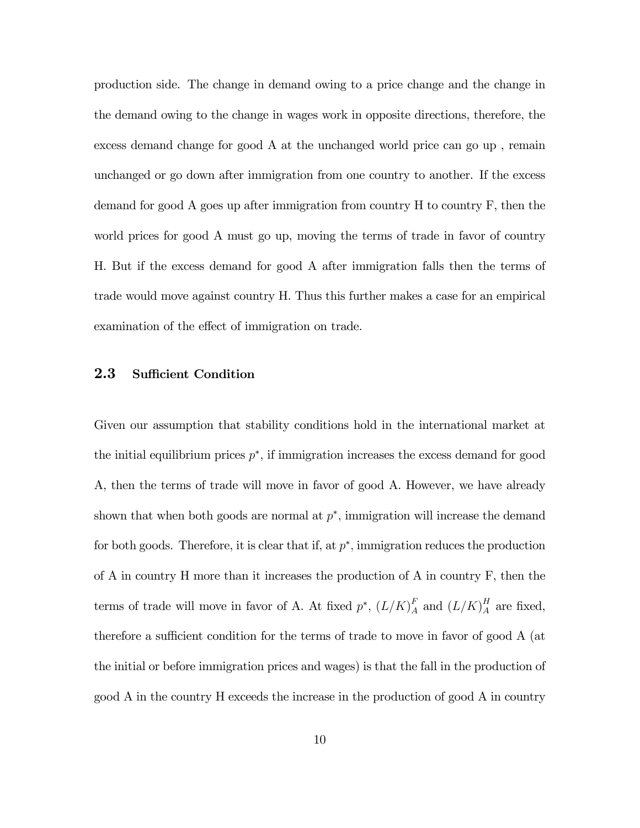production side. The change in demand owing to a price change and the change in the demand owing to the change in wages work in opposite directions, therefore, the excess demand change for good A at the unchanged world price can go up , remain unchanged or go down after immigration from one country to another. If the excess demand for good A goes up after immigration from country H to country F, then the world prices for good A must go up, moving the terms of trade in favor of country H. But if the excess demand for good A after immigration falls then the terms of trade would move against country H. Thus this further makes a case for an empirical examination of the effect of immigration on trade.

#### 2.3 Sufficient Condition

Given our assumption that stability conditions hold in the international market at the initial equilibrium prices  $p^*$ , if immigration increases the excess demand for good A, then the terms of trade will move in favor of good A. However, we have already shown that when both goods are normal at  $p^*$ , immigration will increase the demand for both goods. Therefore, it is clear that if, at  $p^*$ , immigration reduces the production of A in country H more than it increases the production of A in country F, then the terms of trade will move in favor of A. At fixed  $p^*$ ,  $(L/K)_A^F$  and  $(L/K)_A^H$  are fixed, therefore a sufficient condition for the terms of trade to move in favor of good A (at the initial or before immigration prices and wages) is that the fall in the production of good A in the country H exceeds the increase in the production of good A in country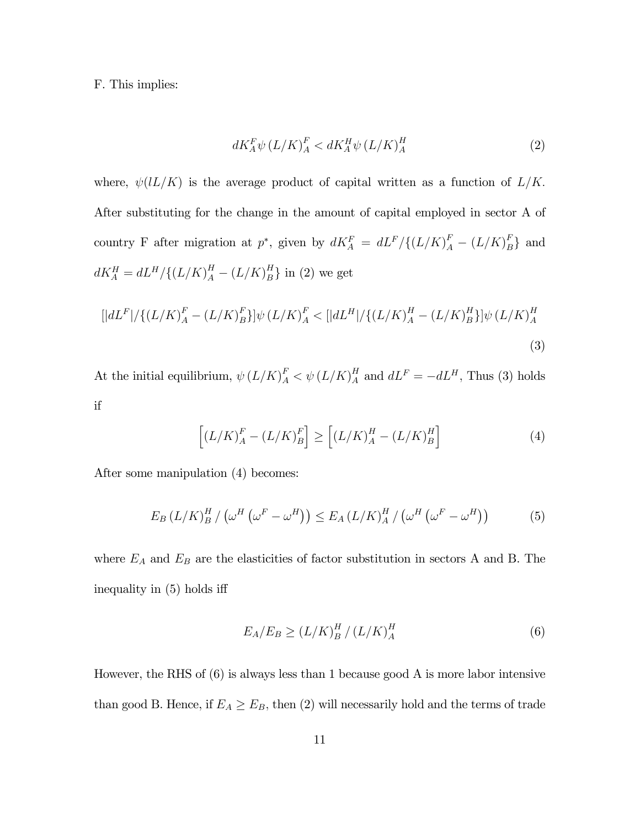F. This implies:

$$
dK_A^F \psi \left( L/K \right)_A^F < dK_A^H \psi \left( L/K \right)_A^H \tag{2}
$$

where,  $\psi(lL/K)$  is the average product of capital written as a function of  $L/K$ . After substituting for the change in the amount of capital employed in sector A of country F after migration at  $p^*$ , given by  $dK_A^F = dL^F / \{(L/K)_A^F - (L/K)_B^F\}$  and  $dK_A^H = dL^H / \{(L/K)_A^H - (L/K)_B^H\}$  in (2) we get

$$
[|dL^{F}|/\{(L/K)_{A}^{F} - (L/K)_{B}^{F}\}] \psi (L/K)_{A}^{F} < [|dL^{H}|/\{(L/K)_{A}^{H} - (L/K)_{B}^{H}\}] \psi (L/K)_{A}^{H}
$$
\n(3)

At the initial equilibrium,  $\psi(L/K)_A^F < \psi(L/K)_A^H$  and  $dL^F = -dL^H$ , Thus (3) holds if

$$
\left[ (L/K)_A^F - (L/K)_B^F \right] \ge \left[ (L/K)_A^H - (L/K)_B^H \right] \tag{4}
$$

After some manipulation (4) becomes:

$$
E_B (L/K)_B^H / \left(\omega^H \left(\omega^F - \omega^H\right)\right) \le E_A (L/K)_A^H / \left(\omega^H \left(\omega^F - \omega^H\right)\right) \tag{5}
$$

where  $E_A$  and  $E_B$  are the elasticities of factor substitution in sectors A and B. The inequality in (5) holds iff

$$
E_A/E_B \ge (L/K)_B^H / (L/K)_A^H \tag{6}
$$

However, the RHS of (6) is always less than 1 because good A is more labor intensive than good B. Hence, if  $E_A \ge E_B$ , then (2) will necessarily hold and the terms of trade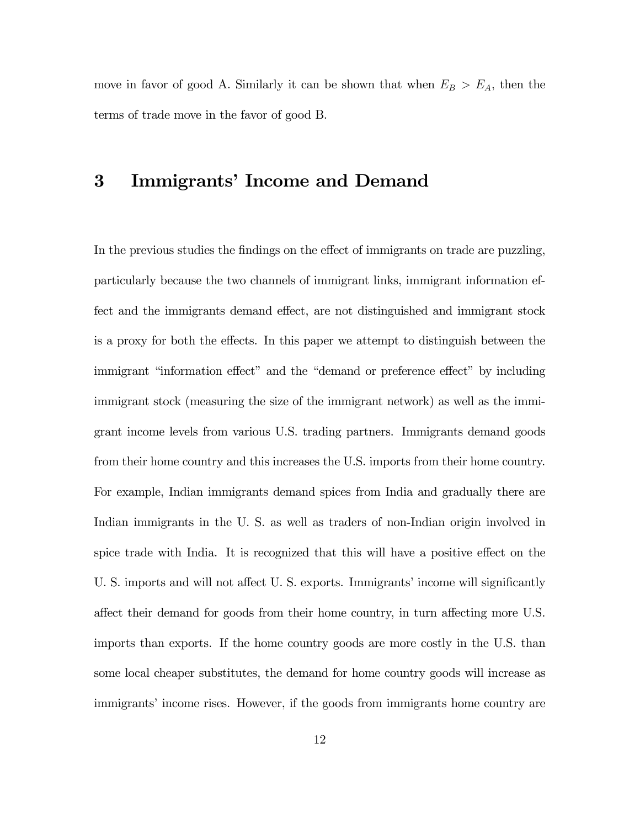move in favor of good A. Similarly it can be shown that when  $E_B > E_A$ , then the terms of trade move in the favor of good B.

### 3 Immigrants' Income and Demand

In the previous studies the findings on the effect of immigrants on trade are puzzling, particularly because the two channels of immigrant links, immigrant information effect and the immigrants demand effect, are not distinguished and immigrant stock is a proxy for both the effects. In this paper we attempt to distinguish between the immigrant "information effect" and the "demand or preference effect" by including immigrant stock (measuring the size of the immigrant network) as well as the immigrant income levels from various U.S. trading partners. Immigrants demand goods from their home country and this increases the U.S. imports from their home country. For example, Indian immigrants demand spices from India and gradually there are Indian immigrants in the U. S. as well as traders of non-Indian origin involved in spice trade with India. It is recognized that this will have a positive effect on the U. S. imports and will not affect U. S. exports. Immigrants' income will significantly affect their demand for goods from their home country, in turn affecting more U.S. imports than exports. If the home country goods are more costly in the U.S. than some local cheaper substitutes, the demand for home country goods will increase as immigrants' income rises. However, if the goods from immigrants home country are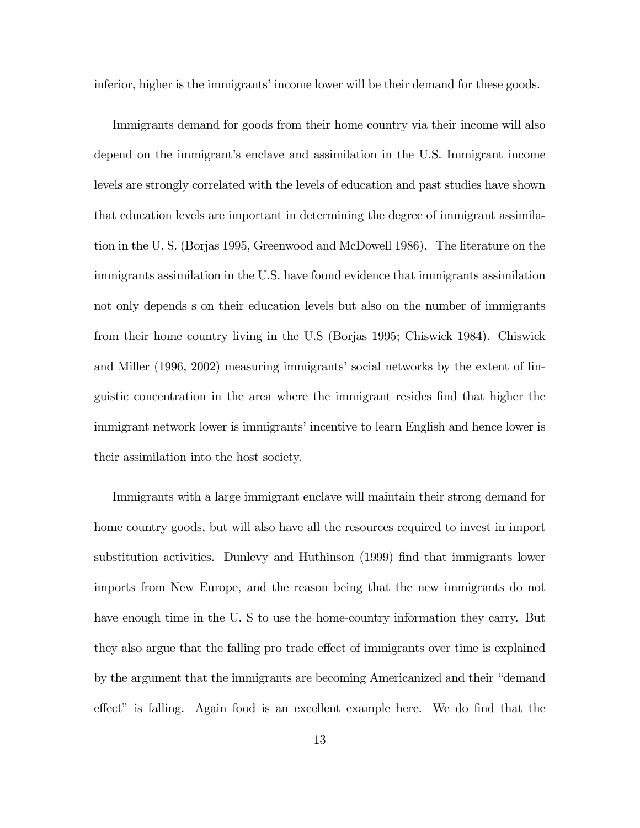inferior, higher is the immigrants' income lower will be their demand for these goods.

Immigrants demand for goods from their home country via their income will also depend on the immigrant's enclave and assimilation in the U.S. Immigrant income levels are strongly correlated with the levels of education and past studies have shown that education levels are important in determining the degree of immigrant assimilation in the U. S. (Borjas 1995, Greenwood and McDowell 1986). The literature on the immigrants assimilation in the U.S. have found evidence that immigrants assimilation not only depends s on their education levels but also on the number of immigrants from their home country living in the U.S (Borjas 1995; Chiswick 1984). Chiswick and Miller (1996, 2002) measuring immigrants' social networks by the extent of linguistic concentration in the area where the immigrant resides find that higher the immigrant network lower is immigrants' incentive to learn English and hence lower is their assimilation into the host society.

Immigrants with a large immigrant enclave will maintain their strong demand for home country goods, but will also have all the resources required to invest in import substitution activities. Dunlevy and Huthinson (1999) find that immigrants lower imports from New Europe, and the reason being that the new immigrants do not have enough time in the U. S to use the home-country information they carry. But they also argue that the falling pro trade effect of immigrants over time is explained by the argument that the immigrants are becoming Americanized and their "demand effect" is falling. Again food is an excellent example here. We do find that the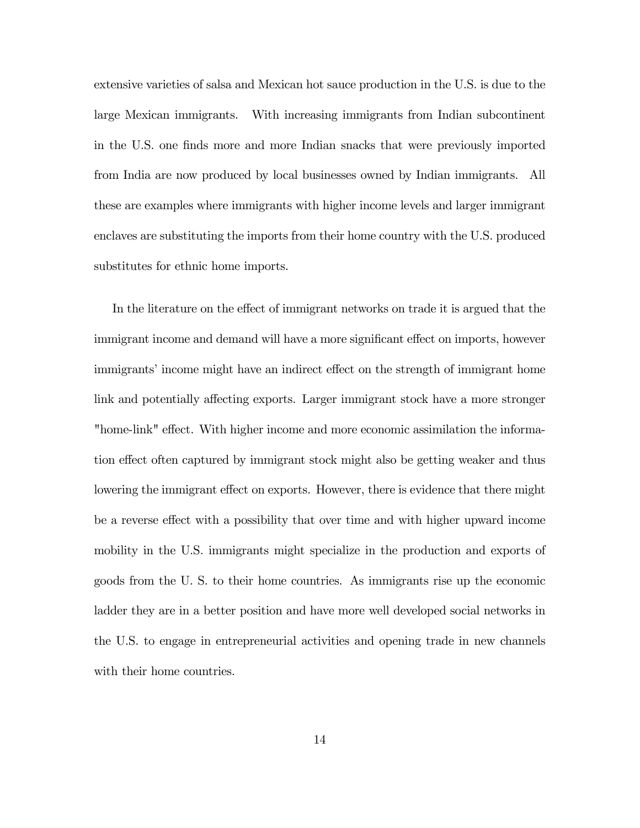extensive varieties of salsa and Mexican hot sauce production in the U.S. is due to the large Mexican immigrants. With increasing immigrants from Indian subcontinent in the U.S. one finds more and more Indian snacks that were previously imported from India are now produced by local businesses owned by Indian immigrants. All these are examples where immigrants with higher income levels and larger immigrant enclaves are substituting the imports from their home country with the U.S. produced substitutes for ethnic home imports.

In the literature on the effect of immigrant networks on trade it is argued that the immigrant income and demand will have a more significant effect on imports, however immigrants' income might have an indirect effect on the strength of immigrant home link and potentially affecting exports. Larger immigrant stock have a more stronger "home-link" effect. With higher income and more economic assimilation the information effect often captured by immigrant stock might also be getting weaker and thus lowering the immigrant effect on exports. However, there is evidence that there might be a reverse effect with a possibility that over time and with higher upward income mobility in the U.S. immigrants might specialize in the production and exports of goods from the U. S. to their home countries. As immigrants rise up the economic ladder they are in a better position and have more well developed social networks in the U.S. to engage in entrepreneurial activities and opening trade in new channels with their home countries.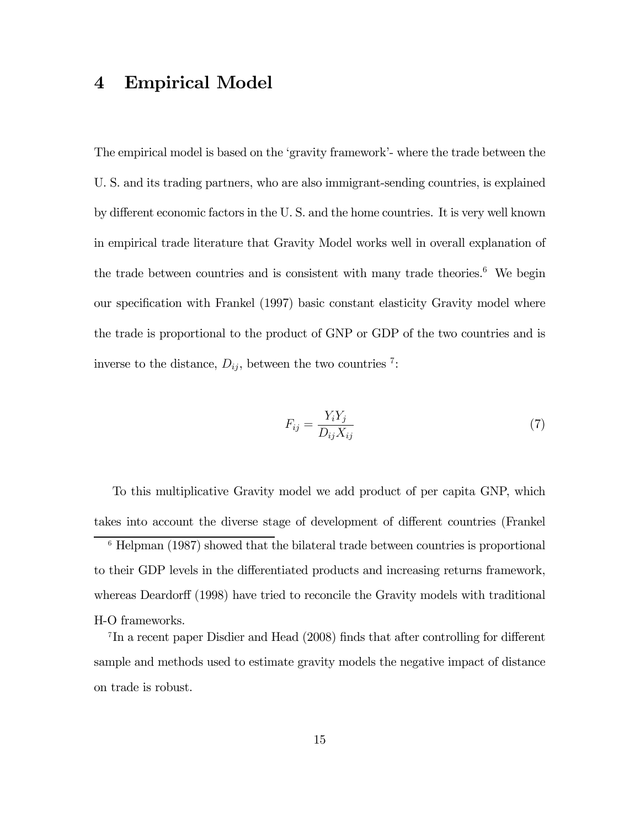### 4 Empirical Model

The empirical model is based on the 'gravity framework'- where the trade between the U. S. and its trading partners, who are also immigrant-sending countries, is explained by different economic factors in the U. S. and the home countries. It is very well known in empirical trade literature that Gravity Model works well in overall explanation of the trade between countries and is consistent with many trade theories.<sup>6</sup> We begin our specification with Frankel (1997) basic constant elasticity Gravity model where the trade is proportional to the product of GNP or GDP of the two countries and is inverse to the distance,  $D_{ij}$ , between the two countries <sup>7</sup>:

$$
F_{ij} = \frac{Y_i Y_j}{D_{ij} X_{ij}}\tag{7}
$$

To this multiplicative Gravity model we add product of per capita GNP, which takes into account the diverse stage of development of different countries (Frankel

<sup>6</sup> Helpman (1987) showed that the bilateral trade between countries is proportional to their GDP levels in the differentiated products and increasing returns framework, whereas Deardorff (1998) have tried to reconcile the Gravity models with traditional H-O frameworks.

<sup>7</sup> In a recent paper Disdier and Head (2008) finds that after controlling for different sample and methods used to estimate gravity models the negative impact of distance on trade is robust.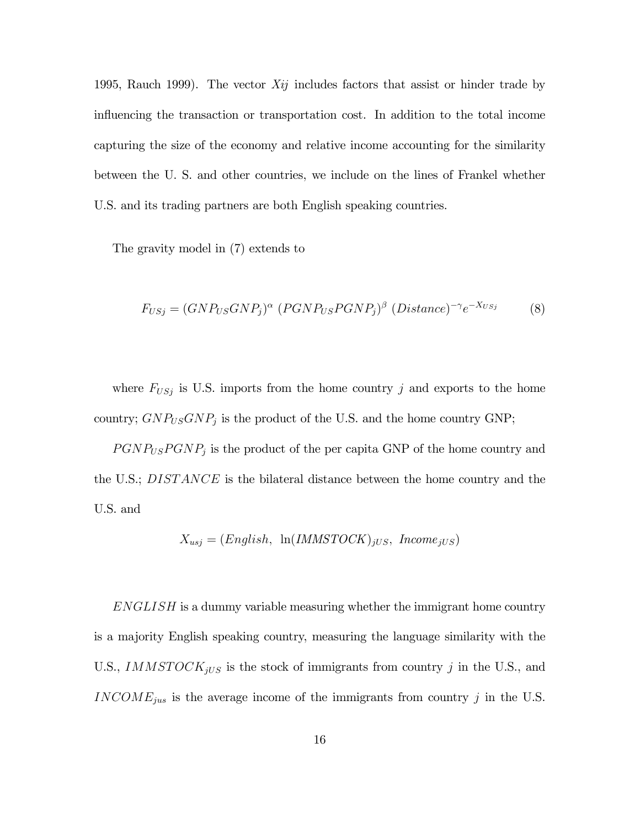1995, Rauch 1999). The vector  $X_{ij}$  includes factors that assist or hinder trade by influencing the transaction or transportation cost. In addition to the total income capturing the size of the economy and relative income accounting for the similarity between the U. S. and other countries, we include on the lines of Frankel whether U.S. and its trading partners are both English speaking countries.

The gravity model in (7) extends to

$$
F_{USj} = (GNP_{US}GNP_j)^{\alpha} (PGNP_{US}PGNP_j)^{\beta} (Distance)^{-\gamma}e^{-X_{USj}}
$$
(8)

where  $F_{USj}$  is U.S. imports from the home country j and exports to the home country;  $GNP_{US}GNP_j$  is the product of the U.S. and the home country GNP;

 $PGNP_{US}PGNP_j$  is the product of the per capita GNP of the home country and the U.S.; DISTANCE is the bilateral distance between the home country and the U.S. and

$$
X_{usj} = (English, \ \ln(IMMSTOCK)_{jUS}, \ Income_{jUS})
$$

ENGLISH is a dummy variable measuring whether the immigrant home country is a majority English speaking country, measuring the language similarity with the U.S., IMMSTOC $K_{jUS}$  is the stock of immigrants from country j in the U.S., and  $INCOME_{jus}$  is the average income of the immigrants from country j in the U.S.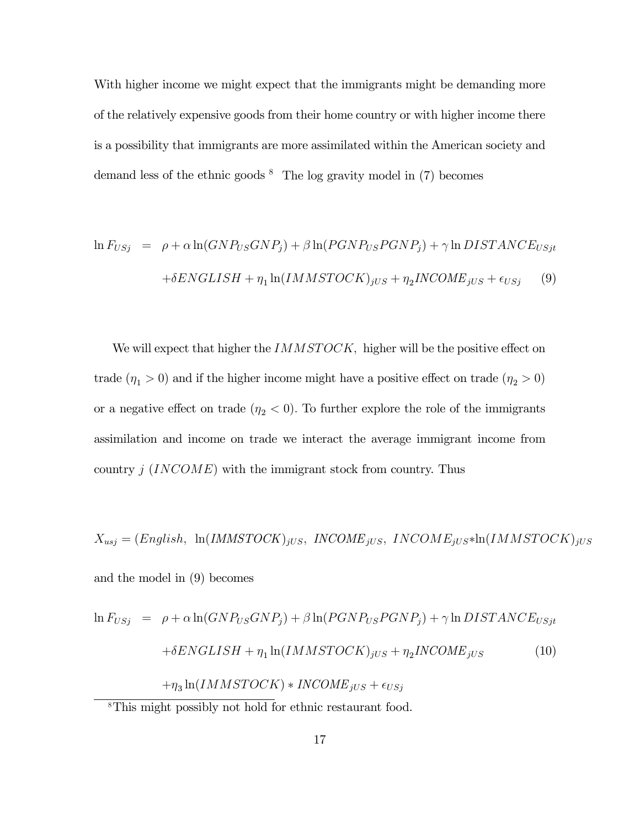With higher income we might expect that the immigrants might be demanding more of the relatively expensive goods from their home country or with higher income there is a possibility that immigrants are more assimilated within the American society and demand less of the ethnic goods  $8$  The log gravity model in (7) becomes

$$
\ln F_{USj} = \rho + \alpha \ln(GNP_{US}GNP_j) + \beta \ln(PGNP_{US}PGNP_j) + \gamma \ln DISTANCE_{USjt}
$$

$$
+ \delta ENGLISH + \eta_1 \ln(IMMSTock)_{jUS} + \eta_2 INCOME_{jUS} + \epsilon_{USj}
$$
(9)

We will expect that higher the IMMSTOCK, higher will be the positive effect on trade  $(\eta_1 > 0)$  and if the higher income might have a positive effect on trade  $(\eta_2 > 0)$ or a negative effect on trade  $(\eta_2 < 0)$ . To further explore the role of the immigrants assimilation and income on trade we interact the average immigrant income from country  $j$  (*INCOME*) with the immigrant stock from country. Thus

$$
X_{usj} = (English, \ \ln(IMMSTOCK)_{jUS}, \ INCOME_{jUS}, \ INCOME_{jUS} * \ln(IMMSTOCK)_{jUS}
$$
  
and the model in (9) becomes

$$
\ln F_{USj} = \rho + \alpha \ln(GNP_{US}GNP_j) + \beta \ln(PGNP_{US}PGNP_j) + \gamma \ln DISTANCE_{USjt}
$$

$$
+ \delta ENGLISH + \eta_1 \ln(IMMSTOCK)_{jUS} + \eta_2 INCOME_{jUS}
$$
(10)
$$
+ \eta_3 \ln(IMMSTOCK) * INCOME_{jUS} + \epsilon_{USj}
$$

<sup>8</sup>This might possibly not hold for ethnic restaurant food.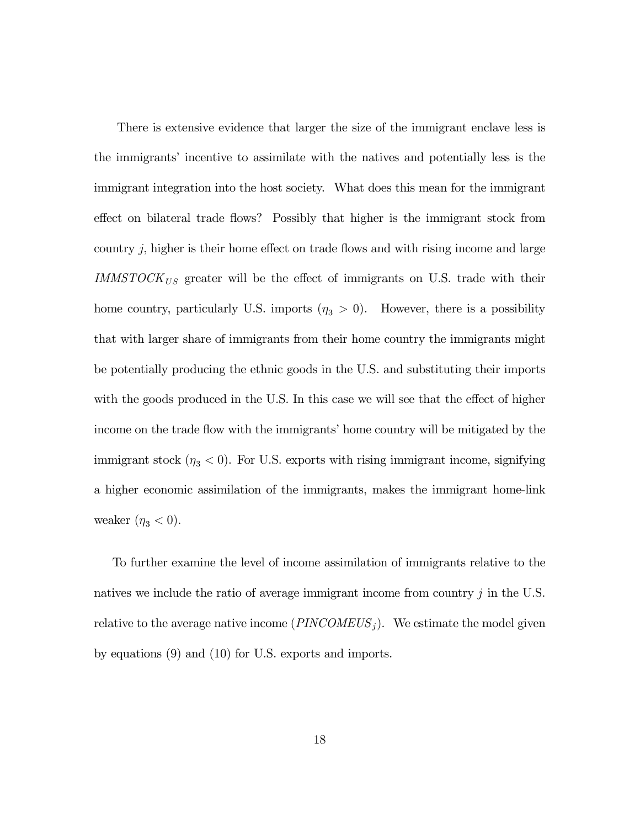There is extensive evidence that larger the size of the immigrant enclave less is the immigrants' incentive to assimilate with the natives and potentially less is the immigrant integration into the host society. What does this mean for the immigrant effect on bilateral trade flows? Possibly that higher is the immigrant stock from country  $j$ , higher is their home effect on trade flows and with rising income and large  $IMMSTOCK<sub>US</sub>$  greater will be the effect of immigrants on U.S. trade with their home country, particularly U.S. imports  $(\eta_3 > 0)$ . However, there is a possibility that with larger share of immigrants from their home country the immigrants might be potentially producing the ethnic goods in the U.S. and substituting their imports with the goods produced in the U.S. In this case we will see that the effect of higher income on the trade flow with the immigrants' home country will be mitigated by the immigrant stock  $(\eta_3 < 0)$ . For U.S. exports with rising immigrant income, signifying a higher economic assimilation of the immigrants, makes the immigrant home-link weaker  $(\eta_3 < 0)$ .

To further examine the level of income assimilation of immigrants relative to the natives we include the ratio of average immigrant income from country  $j$  in the U.S. relative to the average native income  $(PINCOMEUS<sub>i</sub>)$ . We estimate the model given by equations (9) and (10) for U.S. exports and imports.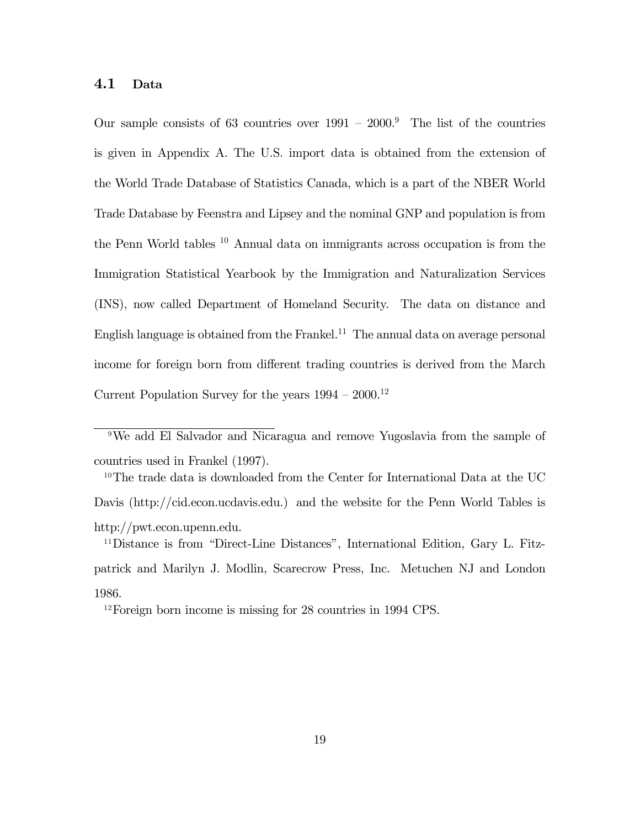#### 4.1 Data

Our sample consists of 63 countries over  $1991 - 2000$ .<sup>9</sup> The list of the countries is given in Appendix A. The U.S. import data is obtained from the extension of the World Trade Database of Statistics Canada, which is a part of the NBER World Trade Database by Feenstra and Lipsey and the nominal GNP and population is from the Penn World tables <sup>10</sup> Annual data on immigrants across occupation is from the Immigration Statistical Yearbook by the Immigration and Naturalization Services (INS), now called Department of Homeland Security. The data on distance and English language is obtained from the Frankel.<sup>11</sup> The annual data on average personal income for foreign born from different trading countries is derived from the March Current Population Survey for the years  $1994 - 2000$ .<sup>12</sup>

9We add El Salvador and Nicaragua and remove Yugoslavia from the sample of countries used in Frankel (1997).

10The trade data is downloaded from the Center for International Data at the UC Davis (http://cid.econ.ucdavis.edu.) and the website for the Penn World Tables is http://pwt.econ.upenn.edu.

11Distance is from "Direct-Line Distances", International Edition, Gary L. Fitzpatrick and Marilyn J. Modlin, Scarecrow Press, Inc. Metuchen NJ and London 1986.

12Foreign born income is missing for 28 countries in 1994 CPS.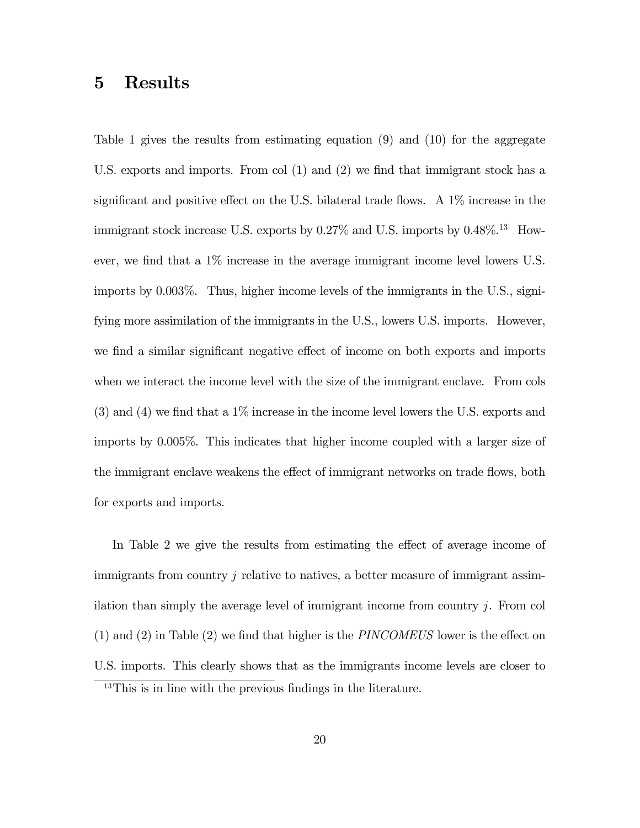### 5 Results

Table 1 gives the results from estimating equation (9) and (10) for the aggregate U.S. exports and imports. From col (1) and (2) we find that immigrant stock has a significant and positive effect on the U.S. bilateral trade flows. A 1% increase in the immigrant stock increase U.S. exports by 0.27% and U.S. imports by 0.48%.<sup>13</sup> However, we find that a 1% increase in the average immigrant income level lowers U.S. imports by 0.003%. Thus, higher income levels of the immigrants in the U.S., signifying more assimilation of the immigrants in the U.S., lowers U.S. imports. However, we find a similar significant negative effect of income on both exports and imports when we interact the income level with the size of the immigrant enclave. From cols (3) and (4) we find that a 1% increase in the income level lowers the U.S. exports and imports by 0.005%. This indicates that higher income coupled with a larger size of the immigrant enclave weakens the effect of immigrant networks on trade flows, both for exports and imports.

In Table 2 we give the results from estimating the effect of average income of immigrants from country  $j$  relative to natives, a better measure of immigrant assimilation than simply the average level of immigrant income from country  $i$ . From col (1) and (2) in Table (2) we find that higher is the PINCOMEUS lower is the effect on U.S. imports. This clearly shows that as the immigrants income levels are closer to

<sup>&</sup>lt;sup>13</sup>This is in line with the previous findings in the literature.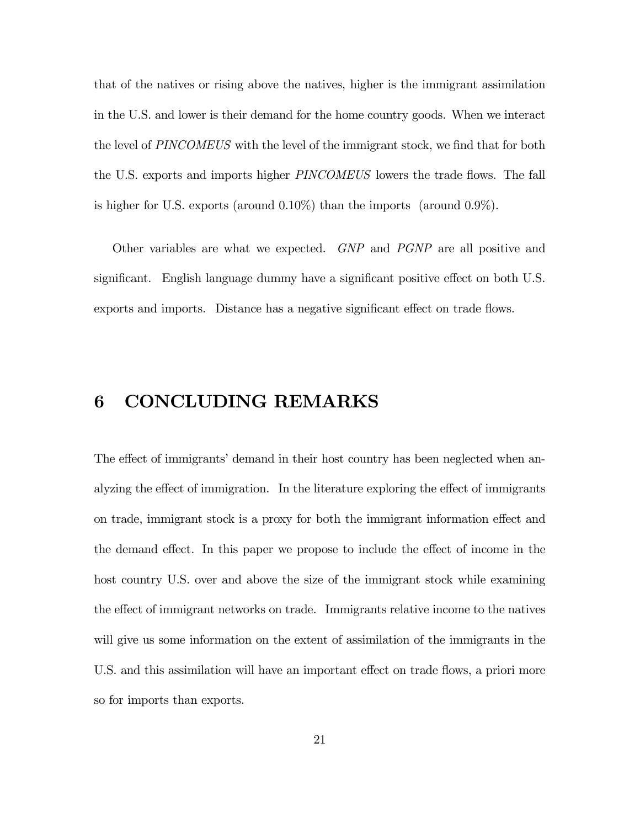that of the natives or rising above the natives, higher is the immigrant assimilation in the U.S. and lower is their demand for the home country goods. When we interact the level of PINCOMEUS with the level of the immigrant stock, we find that for both the U.S. exports and imports higher *PINCOMEUS* lowers the trade flows. The fall is higher for U.S. exports (around  $0.10\%$ ) than the imports (around  $0.9\%$ ).

Other variables are what we expected. GNP and PGNP are all positive and significant. English language dummy have a significant positive effect on both U.S. exports and imports. Distance has a negative significant effect on trade flows.

# 6 CONCLUDING REMARKS

The effect of immigrants' demand in their host country has been neglected when analyzing the effect of immigration. In the literature exploring the effect of immigrants on trade, immigrant stock is a proxy for both the immigrant information effect and the demand effect. In this paper we propose to include the effect of income in the host country U.S. over and above the size of the immigrant stock while examining the effect of immigrant networks on trade. Immigrants relative income to the natives will give us some information on the extent of assimilation of the immigrants in the U.S. and this assimilation will have an important effect on trade flows, a priori more so for imports than exports.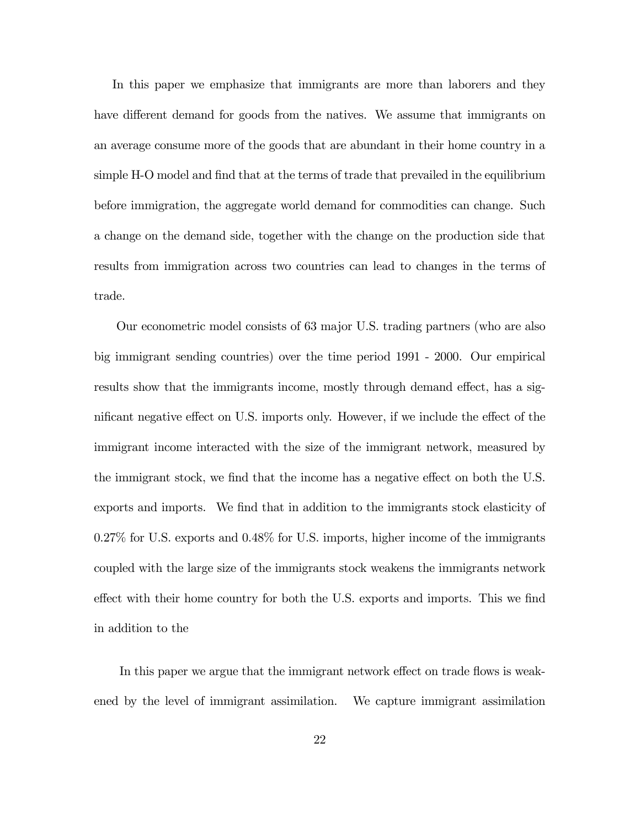In this paper we emphasize that immigrants are more than laborers and they have different demand for goods from the natives. We assume that immigrants on an average consume more of the goods that are abundant in their home country in a simple H-O model and find that at the terms of trade that prevailed in the equilibrium before immigration, the aggregate world demand for commodities can change. Such a change on the demand side, together with the change on the production side that results from immigration across two countries can lead to changes in the terms of trade.

Our econometric model consists of 63 major U.S. trading partners (who are also big immigrant sending countries) over the time period 1991 - 2000. Our empirical results show that the immigrants income, mostly through demand effect, has a significant negative effect on U.S. imports only. However, if we include the effect of the immigrant income interacted with the size of the immigrant network, measured by the immigrant stock, we find that the income has a negative effect on both the U.S. exports and imports. We find that in addition to the immigrants stock elasticity of 0.27% for U.S. exports and 0.48% for U.S. imports, higher income of the immigrants coupled with the large size of the immigrants stock weakens the immigrants network effect with their home country for both the U.S. exports and imports. This we find in addition to the

In this paper we argue that the immigrant network effect on trade flows is weakened by the level of immigrant assimilation. We capture immigrant assimilation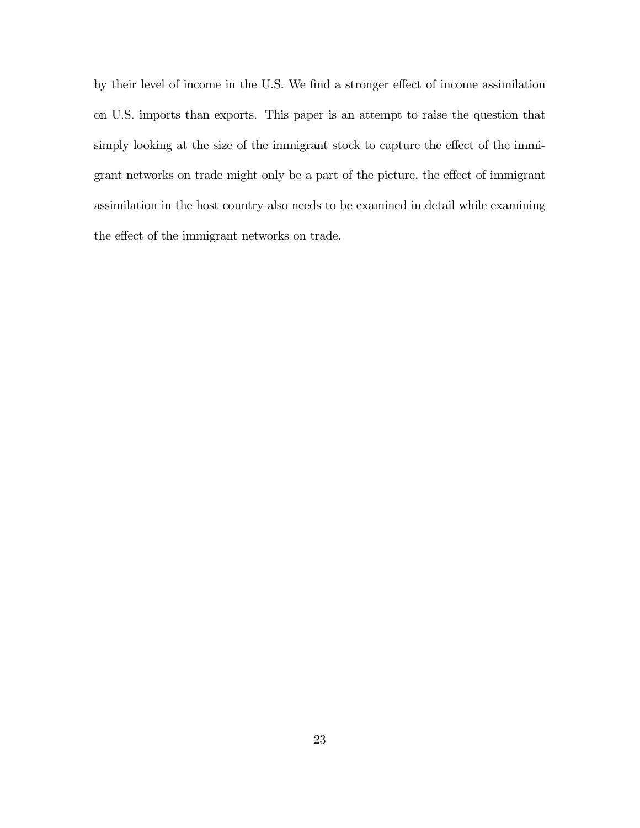by their level of income in the U.S. We find a stronger effect of income assimilation on U.S. imports than exports. This paper is an attempt to raise the question that simply looking at the size of the immigrant stock to capture the effect of the immigrant networks on trade might only be a part of the picture, the effect of immigrant assimilation in the host country also needs to be examined in detail while examining the effect of the immigrant networks on trade.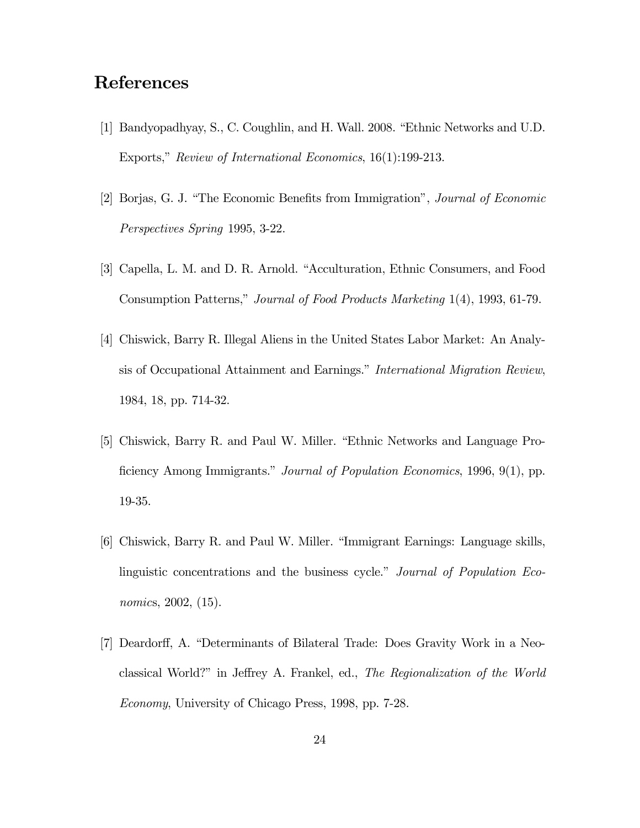# References

- [1] Bandyopadhyay, S., C. Coughlin, and H. Wall. 2008. "Ethnic Networks and U.D. Exports," Review of International Economics, 16(1):199-213.
- [2] Borjas, G. J. "The Economic Benefits from Immigration", Journal of Economic Perspectives Spring 1995, 3-22.
- [3] Capella, L. M. and D. R. Arnold. "Acculturation, Ethnic Consumers, and Food Consumption Patterns," Journal of Food Products Marketing 1(4), 1993, 61-79.
- [4] Chiswick, Barry R. Illegal Aliens in the United States Labor Market: An Analysis of Occupational Attainment and Earnings." International Migration Review, 1984, 18, pp. 714-32.
- [5] Chiswick, Barry R. and Paul W. Miller. "Ethnic Networks and Language Proficiency Among Immigrants." Journal of Population Economics, 1996, 9(1), pp. 19-35.
- [6] Chiswick, Barry R. and Paul W. Miller. "Immigrant Earnings: Language skills, linguistic concentrations and the business cycle." Journal of Population Economics, 2002, (15).
- [7] Deardorff, A. "Determinants of Bilateral Trade: Does Gravity Work in a Neoclassical World?" in Jeffrey A. Frankel, ed., The Regionalization of the World Economy, University of Chicago Press, 1998, pp. 7-28.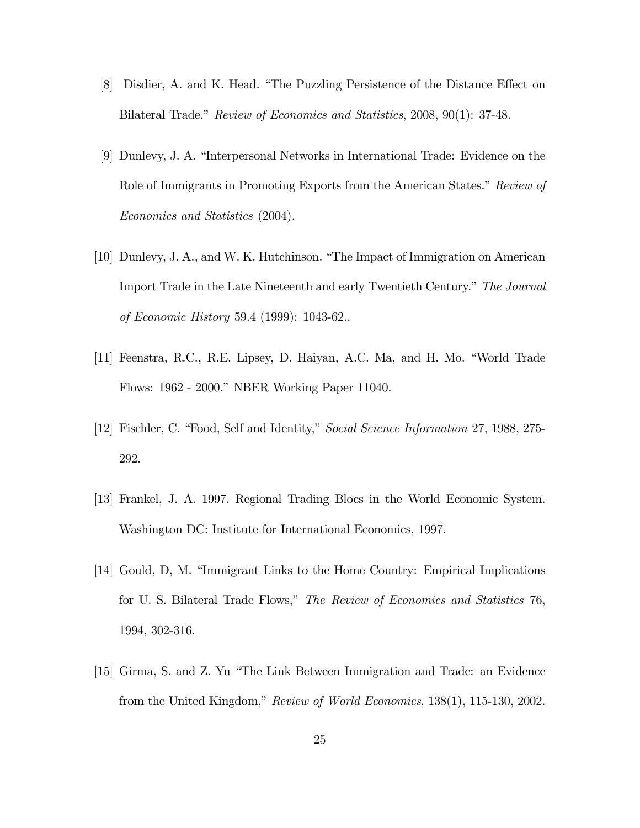- [8] Disdier, A. and K. Head. "The Puzzling Persistence of the Distance Effect on Bilateral Trade." Review of Economics and Statistics, 2008, 90(1): 37-48.
- [9] Dunlevy, J. A. "Interpersonal Networks in International Trade: Evidence on the Role of Immigrants in Promoting Exports from the American States." Review of Economics and Statistics (2004).
- [10] Dunlevy, J. A., and W. K. Hutchinson. "The Impact of Immigration on American Import Trade in the Late Nineteenth and early Twentieth Century." The Journal of Economic History 59.4 (1999): 1043-62..
- [11] Feenstra, R.C., R.E. Lipsey, D. Haiyan, A.C. Ma, and H. Mo. "World Trade Flows: 1962 - 2000." NBER Working Paper 11040.
- [12] Fischler, C. "Food, Self and Identity," Social Science Information 27, 1988, 275- 292.
- [13] Frankel, J. A. 1997. Regional Trading Blocs in the World Economic System. Washington DC: Institute for International Economics, 1997.
- [14] Gould, D, M. "Immigrant Links to the Home Country: Empirical Implications for U. S. Bilateral Trade Flows," The Review of Economics and Statistics 76, 1994, 302-316.
- [15] Girma, S. and Z. Yu "The Link Between Immigration and Trade: an Evidence from the United Kingdom," Review of World Economics, 138(1), 115-130, 2002.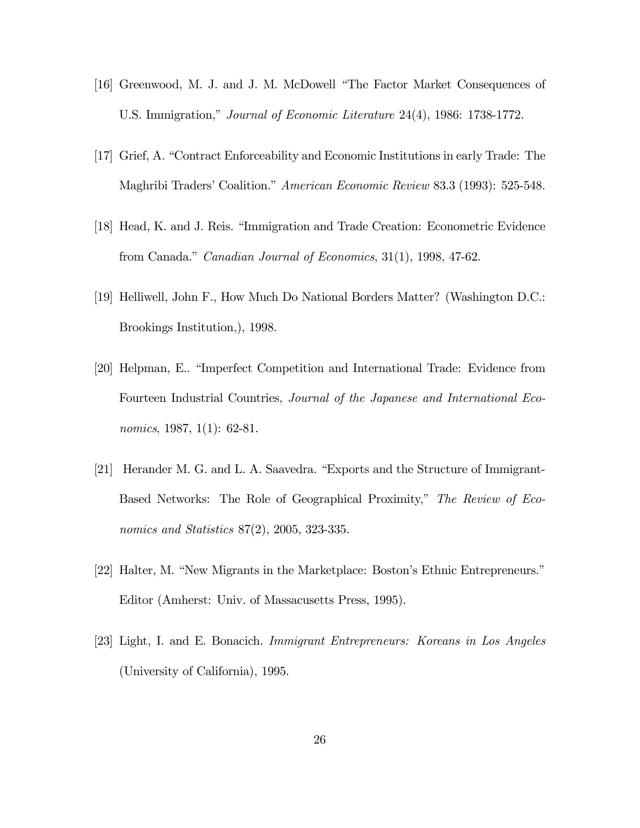- [16] Greenwood, M. J. and J. M. McDowell "The Factor Market Consequences of U.S. Immigration," Journal of Economic Literature 24(4), 1986: 1738-1772.
- [17] Grief, A. "Contract Enforceability and Economic Institutions in early Trade: The Maghribi Traders' Coalition." American Economic Review 83.3 (1993): 525-548.
- [18] Head, K. and J. Reis. "Immigration and Trade Creation: Econometric Evidence from Canada." Canadian Journal of Economics, 31(1), 1998, 47-62.
- [19] Helliwell, John F., How Much Do National Borders Matter? (Washington D.C.: Brookings Institution,), 1998.
- [20] Helpman, E.. "Imperfect Competition and International Trade: Evidence from Fourteen Industrial Countries, Journal of the Japanese and International Economics, 1987, 1(1): 62-81.
- [21] Herander M. G. and L. A. Saavedra. "Exports and the Structure of Immigrant-Based Networks: The Role of Geographical Proximity," The Review of Economics and Statistics 87(2), 2005, 323-335.
- [22] Halter, M. "New Migrants in the Marketplace: Boston's Ethnic Entrepreneurs." Editor (Amherst: Univ. of Massacusetts Press, 1995).
- [23] Light, I. and E. Bonacich. Immigrant Entrepreneurs: Koreans in Los Angeles (University of California), 1995.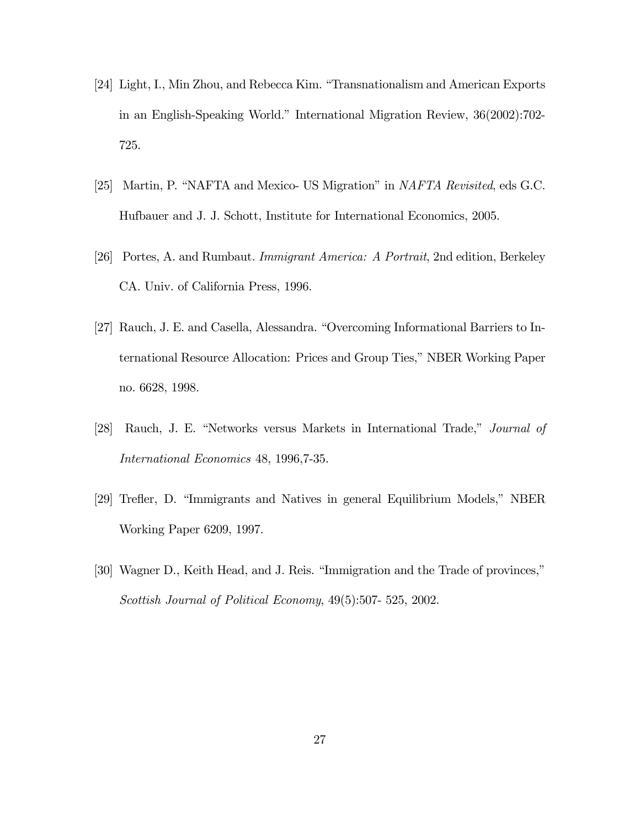- [24] Light, I., Min Zhou, and Rebecca Kim. "Transnationalism and American Exports in an English-Speaking World." International Migration Review, 36(2002):702- 725.
- [25] Martin, P. "NAFTA and Mexico- US Migration" in NAFTA Revisited, eds G.C. Hufbauer and J. J. Schott, Institute for International Economics, 2005.
- [26] Portes, A. and Rumbaut. Immigrant America: A Portrait, 2nd edition, Berkeley CA. Univ. of California Press, 1996.
- [27] Rauch, J. E. and Casella, Alessandra. "Overcoming Informational Barriers to International Resource Allocation: Prices and Group Ties," NBER Working Paper no. 6628, 1998.
- [28] Rauch, J. E. "Networks versus Markets in International Trade," Journal of International Economics 48, 1996,7-35.
- [29] Trefler, D. "Immigrants and Natives in general Equilibrium Models," NBER Working Paper 6209, 1997.
- [30] Wagner D., Keith Head, and J. Reis. "Immigration and the Trade of provinces," Scottish Journal of Political Economy, 49(5):507- 525, 2002.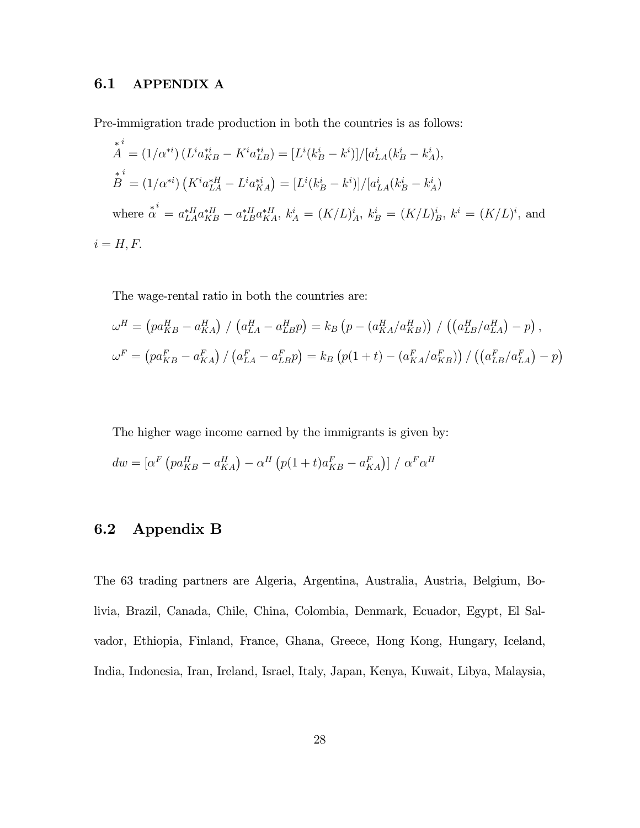#### 6.1 APPENDIX A

Pre-immigration trade production in both the countries is as follows:

$$
A^i = (1/\alpha^{*i}) (L^i a_{KB}^{*i} - K^i a_{LB}^{*i}) = [L^i(k_B^i - k^i)] / [a_{LA}^i(k_B^i - k_A^i),
$$
  
\n
$$
B^i = (1/\alpha^{*i}) (K^i a_{LA}^{*H} - L^i a_{KA}^{*i}) = [L^i(k_B^i - k^i)] / [a_{LA}^i(k_B^i - k_A^i)]
$$
  
\nwhere  $\alpha^i = a_{LA}^{*H} a_{KB}^{*H} - a_{LB}^{*H} a_{KA}^{*H}, k_A^i = (K/L)_A^i, k_B^i = (K/L)_B^i, k^i = (K/L)^i$ , and  
\n $i = H, F.$ 

The wage-rental ratio in both the countries are:

$$
\omega^H = (pa_{KB}^H - a_{KA}^H) / (a_{LA}^H - a_{LB}^H p) = k_B (p - (a_{KA}^H / a_{KB}^H)) / ((a_{LB}^H / a_{LA}^H) - p),
$$
  

$$
\omega^F = (pa_{KB}^F - a_{KA}^F) / (a_{LA}^F - a_{LB}^F p) = k_B (p(1+t) - (a_{KA}^F / a_{KB}^F)) / ((a_{LB}^F / a_{LA}^F) - p)
$$

The higher wage income earned by the immigrants is given by:

$$
dw = \left[\alpha^F \left(p a_{KB}^H - a_{KA}^H\right) - \alpha^H \left(p(1+t)a_{KB}^F - a_{KA}^F\right)\right] / \alpha^F \alpha^H
$$

#### 6.2 Appendix B

The 63 trading partners are Algeria, Argentina, Australia, Austria, Belgium, Bolivia, Brazil, Canada, Chile, China, Colombia, Denmark, Ecuador, Egypt, El Salvador, Ethiopia, Finland, France, Ghana, Greece, Hong Kong, Hungary, Iceland, India, Indonesia, Iran, Ireland, Israel, Italy, Japan, Kenya, Kuwait, Libya, Malaysia,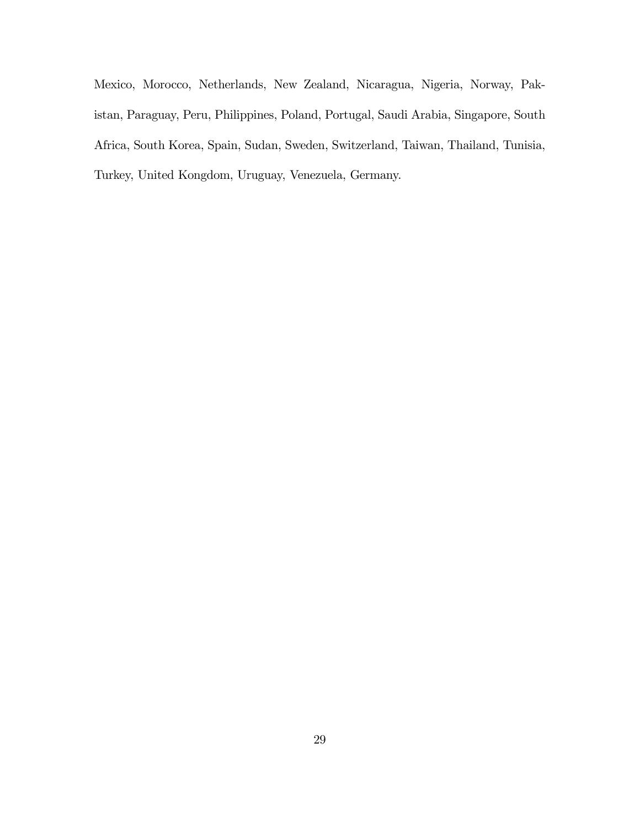Mexico, Morocco, Netherlands, New Zealand, Nicaragua, Nigeria, Norway, Pakistan, Paraguay, Peru, Philippines, Poland, Portugal, Saudi Arabia, Singapore, South Africa, South Korea, Spain, Sudan, Sweden, Switzerland, Taiwan, Thailand, Tunisia, Turkey, United Kongdom, Uruguay, Venezuela, Germany.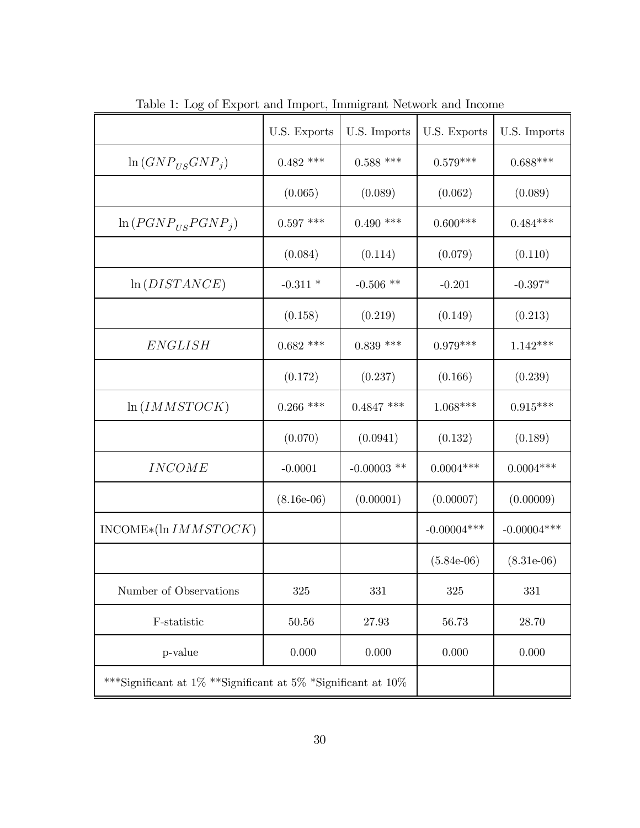|                                                                       | U.S. Exports | U.S. Imports  | U.S. Exports  | U.S. Imports  |
|-----------------------------------------------------------------------|--------------|---------------|---------------|---------------|
| $\ln (GNP_{US}GNP_j)$                                                 | $0.482$ ***  | $0.588$ ***   | $0.579***$    | $0.688***$    |
|                                                                       | (0.065)      | (0.089)       | (0.062)       | (0.089)       |
| $\ln(PGNP_{US}PGNP_j)$                                                | $0.597$ ***  | $0.490$ ***   | $0.600***$    | $0.484***$    |
|                                                                       | (0.084)      | (0.114)       | (0.079)       | (0.110)       |
| ln(DISTANCE)                                                          | $-0.311*$    | $-0.506$ **   | $-0.201$      | $-0.397*$     |
|                                                                       | (0.158)      | (0.219)       | (0.149)       | (0.213)       |
| <b>ENGLISH</b>                                                        | $0.682$ ***  | $0.839$ ***   | $0.979***$    | $1.142***$    |
|                                                                       | (0.172)      | (0.237)       | (0.166)       | (0.239)       |
| ln(IMMSTOCK)                                                          | $0.266$ ***  | $0.4847$ ***  | $1.068***$    | $0.915***$    |
|                                                                       | (0.070)      | (0.0941)      | (0.132)       | (0.189)       |
| <b>INCOME</b>                                                         | $-0.0001$    | $-0.00003$ ** | $0.0004***$   | $0.0004***$   |
|                                                                       | $(8.16e-06)$ | (0.00001)     | (0.00007)     | (0.00009)     |
| $INCOME*(\ln IMMSTOCK)$                                               |              |               | $-0.00004***$ | $-0.00004***$ |
|                                                                       |              |               | $(5.84e-06)$  | $(8.31e-06)$  |
| Number of Observations                                                | 325          | 331           | $325\,$       | 331           |
| F-statistic                                                           | 50.56        | 27.93         | 56.73         | 28.70         |
| p-value                                                               | 0.000        | 0.000         | 0.000         | 0.000         |
| ***Significant at $1\%$ **Significant at $5\%$ *Significant at $10\%$ |              |               |               |               |

Table 1: Log of Export and Import, Immigrant Network and Income